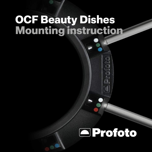## **OCF Beauty Dishes Mounting instruction**

# **E**Profoto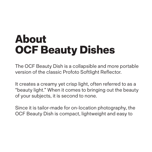# **About OCF Beauty Dishes**

The OCF Beauty Dish is a collapsible and more portable version of the classic Profoto Softlight Reflector.

It creates a creamy yet crisp light, often referred to as a "beauty light." When it comes to bringing out the beauty of your subjects, it is second to none.

Since it is tailor-made for on-location photography, the OCF Beauty Dish is compact, lightweight and easy to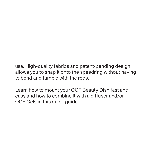use. High-quality fabrics and patent-pending design allows you to snap it onto the speedring without having to bend and fumble with the rods.

Learn how to mount your OCF Beauty Dish fast and easy and how to combine it with a diffuser and/or OCF Gels in this quick guide.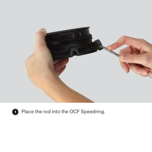

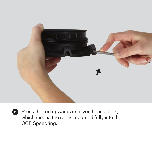

**23** Press the rod upwards until you hear a click, which means the rod is mounted fully into the OCF Speedring.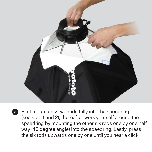

**<sup>3</sup>** First mount only two rods fully into the speedring (see step 1 and 2), thereafter work yourself around the speedring by mounting the other six rods one by one half way (45 degree angle) into the speedring. Lastly, press the six rods upwards one by one until you hear a click.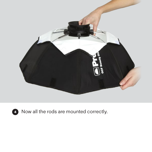



Now all the rods are mounted correctly.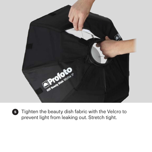

**<sup>5</sup>** Tighten the beauty dish fabric with the Velcro to prevent light from leaking out. Stretch tight.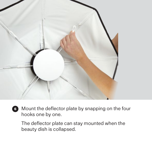

**<sup>6</sup>** Mount the deflector plate by snapping on the four hooks one by one.

The deflector plate can stay mounted when the beauty dish is collapsed.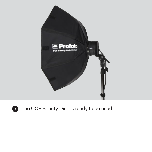

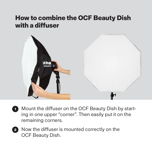### **How to combine the OCF Beauty Dish with a diffuser**



- Mount the diffuser on the OCF Beauty Dish by starting in one upper "corner". Then easily put it on the remaining corners. **1**
- Now the diffuser is mounted correctly on the OCF Beauty Dish. **2**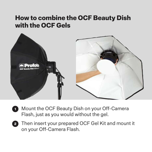#### **How to combine the OCF Beauty Dish with the OCF Gels**



- Mount the OCF Beauty Dish on your Off-Camera Flash, just as you would without the gel. **1**
- Then insert your prepared OCF Gel Kit and mount it on your Off-Camera Flash. **2**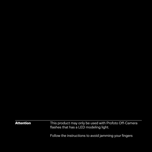Attention This product may only be used with Profoto Off-Camera flashes that has a LED modeling light.

Follow the instructions to avoid jamming your fingers